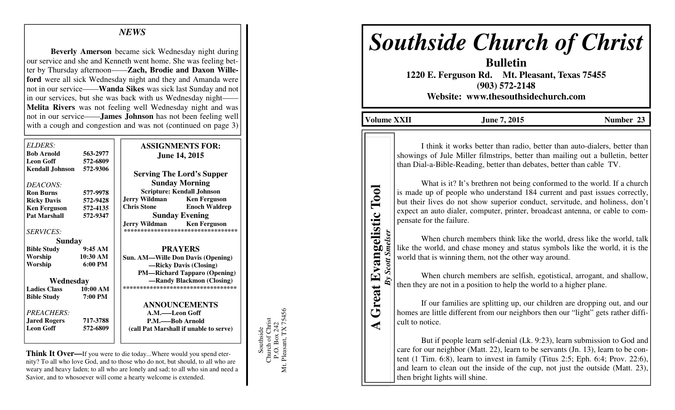# *NEWS*

**Beverly Amerson** became sick Wednesday night during our service and she and Kenneth went home. She was feeling better by Thursday afternoon——**Zach, Brodie and Daxon Willeford** were all sick Wednesday night and they and Amanda were not in our service——**Wanda Sikes** was sick last Sunday and not in our services, but she was back with us Wednesday night—— **Melita Rivers** was not feeling well Wednesday night and was not in our service——**James Johnson** has not been feeling well with a cough and congestion and was not (continued on page 3)

| ELDERS:                |                   | <b>ASSIGNMENTS FOR:</b>                                          |
|------------------------|-------------------|------------------------------------------------------------------|
| <b>Bob Arnold</b>      | 563-2977          | <b>June 14, 2015</b>                                             |
| <b>Leon Goff</b>       | 572-6809          |                                                                  |
| <b>Kendall Johnson</b> | 572-9306          | <b>Serving The Lord's Supper</b>                                 |
| DEACONS:               |                   | <b>Sunday Morning</b>                                            |
| <b>Ron Burns</b>       | 577-9978          | <b>Scripture: Kendall Johnson</b>                                |
| <b>Ricky Davis</b>     | 572-9428          | <b>Jerry Wildman</b><br><b>Ken Ferguson</b>                      |
| <b>Ken Ferguson</b>    | 572-4135          | <b>Chris Stone</b><br><b>Enoch Waldrep</b>                       |
| <b>Pat Marshall</b>    | 572-9347          | <b>Sunday Evening</b>                                            |
| <i>SERVICES:</i>       |                   | Jerry Wildman Ken Ferguson<br>********************************** |
| <b>Sunday</b>          |                   |                                                                  |
| <b>Bible Study</b>     | 9:45AM            | <b>PRAYERS</b>                                                   |
| Worship                | 10:30 AM          | Sun. AM-Wille Don Davis (Opening)                                |
| Worship                | $6:00 \text{ PM}$ | -Ricky Davis (Closing)                                           |
|                        |                   | <b>PM—Richard Tapparo (Opening)</b>                              |
| Wednesday              |                   | —Randy Blackmon (Closing)                                        |
| <b>Ladies Class</b>    | 10:00 AM          | ***********************************                              |
| <b>Bible Study</b>     | 7:00 PM           |                                                                  |
|                        |                   | <b>ANNOUNCEMENTS</b>                                             |
| PREACHERS:             |                   | A.M.——Leon Goff                                                  |
| <b>Jared Rogers</b>    | 717-3788          | P.M.——Bob Arnold                                                 |
| <b>Leon Goff</b>       | 572-6809          | (call Pat Marshall if unable to serve)                           |

**Think It Over—**If you were to die today...Where would you spend eternity? To all who love God, and to those who do not, but should, to all who are weary and heavy laden; to all who are lonely and sad; to all who sin and need a Savior, and to whosoever will come a hearty welcome is extended.

Mt. Pleasant, TX 75456 P.O. Box 242<br>Mt. Pleasant, TX 75456 Southside<br>Church of Christ Church of Christ P.O. Box 242 Southside

# *Southside Church of Christ*

**Bulletin 1220 E. Ferguson Rd. Mt. Pleasant, Texas 75455 (903) 572-2148 Website: www.thesouthsidechurch.com** 

**Volume XXII June 7, 2015 Number 23** 

**A Great Evangelistic Tool**  *By Scott Smelser* 

By Scott Smelser

**Great Evangelistic** 

◀

Tool

 I think it works better than radio, better than auto-dialers, better than showings of Jule Miller filmstrips, better than mailing out a bulletin, better than Dial-a-Bible-Reading, better than debates, better than cable TV.

What is it? It's brethren not being conformed to the world. If a church is made up of people who understand 184 current and past issues correctly, but their lives do not show superior conduct, servitude, and holiness, don't expect an auto dialer, computer, printer, broadcast antenna, or cable to compensate for the failure.

 When church members think like the world, dress like the world, talk like the world, and chase money and status symbols like the world, it is the world that is winning them, not the other way around.

 When church members are selfish, egotistical, arrogant, and shallow, then they are not in a position to help the world to a higher plane.

 If our families are splitting up, our children are dropping out, and our homes are little different from our neighbors then our "light" gets rather difficult to notice.

 But if people learn self-denial (Lk. 9:23), learn submission to God and care for our neighbor (Matt. 22), learn to be servants (Jn. 13), learn to be content (1 Tim. 6:8), learn to invest in family (Titus 2:5; Eph. 6:4; Prov. 22:6), and learn to clean out the inside of the cup, not just the outside (Matt. 23), then bright lights will shine.